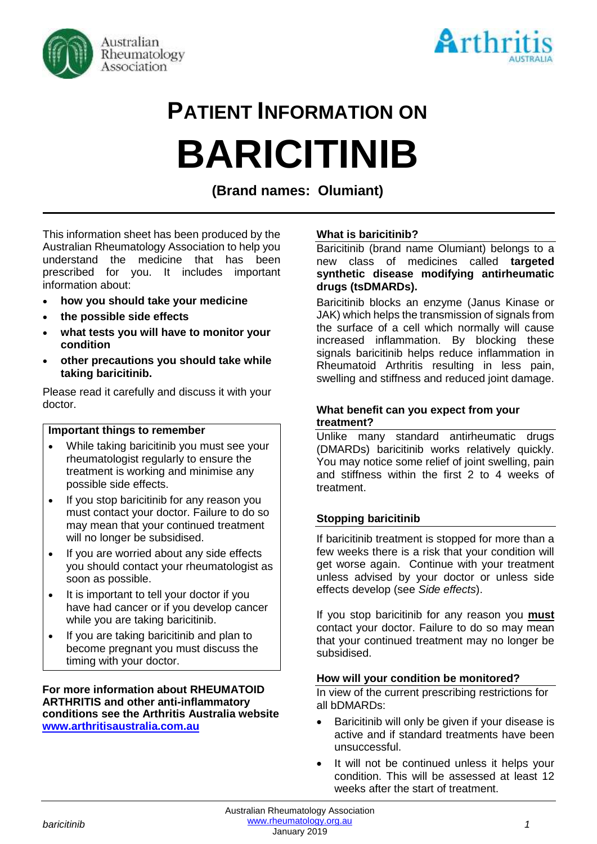



# **PATIENT INFORMATION ON BARICITINIB**

**(Brand names: Olumiant)**

This information sheet has been produced by the Australian Rheumatology Association to help you understand the medicine that has been prescribed for you. It includes important information about:

- **how you should take your medicine**
- **the possible side effects**
- **what tests you will have to monitor your condition**
- **other precautions you should take while taking baricitinib.**

Please read it carefully and discuss it with your doctor.

### **Important things to remember**

- While taking baricitinib you must see your rheumatologist regularly to ensure the treatment is working and minimise any possible side effects.
- If you stop baricitinib for any reason you must contact your doctor. Failure to do so may mean that your continued treatment will no longer be subsidised.
- If you are worried about any side effects you should contact your rheumatologist as soon as possible.
- It is important to tell your doctor if you have had cancer or if you develop cancer while you are taking baricitinib.
- If you are taking baricitinib and plan to become pregnant you must discuss the timing with your doctor.

**For more information about RHEUMATOID ARTHRITIS and other anti-inflammatory conditions see the Arthritis Australia website [www.arthritisaustralia.com.au](http://www.arthritisaustralia.com.au/)**

# **What is baricitinib?**

Baricitinib (brand name Olumiant) belongs to a new class of medicines called **targeted synthetic disease modifying antirheumatic drugs (tsDMARDs).** 

Baricitinib blocks an enzyme (Janus Kinase or JAK) which helps the transmission of signals from the surface of a cell which normally will cause increased inflammation. By blocking these signals baricitinib helps reduce inflammation in Rheumatoid Arthritis resulting in less pain, swelling and stiffness and reduced joint damage.

## **What benefit can you expect from your treatment?**

Unlike many standard antirheumatic drugs (DMARDs) baricitinib works relatively quickly. You may notice some relief of joint swelling, pain and stiffness within the first 2 to 4 weeks of treatment.

### **Stopping baricitinib**

If baricitinib treatment is stopped for more than a few weeks there is a risk that your condition will get worse again. Continue with your treatment unless advised by your doctor or unless side effects develop (see *Side effects*).

If you stop baricitinib for any reason you **must** contact your doctor. Failure to do so may mean that your continued treatment may no longer be subsidised.

### **How will your condition be monitored?**

In view of the current prescribing restrictions for all bDMARDs:

- Baricitinib will only be given if your disease is active and if standard treatments have been unsuccessful.
- It will not be continued unless it helps your condition. This will be assessed at least 12 weeks after the start of treatment.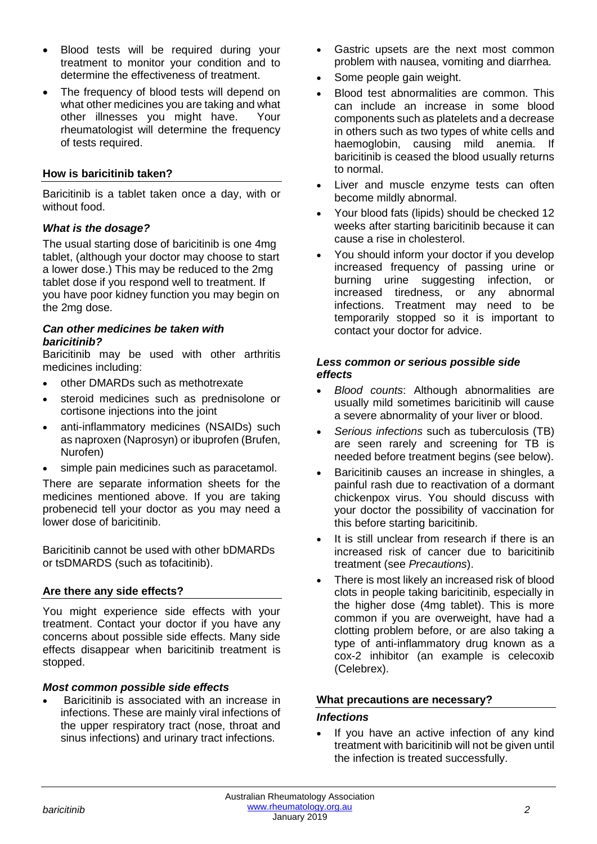- Blood tests will be required during your treatment to monitor your condition and to determine the effectiveness of treatment.
- The frequency of blood tests will depend on what other medicines you are taking and what other illnesses you might have. Your rheumatologist will determine the frequency of tests required.

# **How is baricitinib taken?**

Baricitinib is a tablet taken once a day, with or without food.

# *What is the dosage?*

The usual starting dose of baricitinib is one 4mg tablet, (although your doctor may choose to start a lower dose.) This may be reduced to the 2mg tablet dose if you respond well to treatment. If you have poor kidney function you may begin on the 2mg dose.

#### *Can other medicines be taken with baricitinib?*

Baricitinib may be used with other arthritis medicines including:

- other DMARDs such as methotrexate
- steroid medicines such as prednisolone or cortisone injections into the joint
- anti-inflammatory medicines (NSAIDs) such as naproxen (Naprosyn) or ibuprofen (Brufen, Nurofen)
- simple pain medicines such as paracetamol.

There are separate information sheets for the medicines mentioned above. If you are taking probenecid tell your doctor as you may need a lower dose of baricitinib.

Baricitinib cannot be used with other bDMARDs or tsDMARDS (such as tofacitinib).

# **Are there any side effects?**

You might experience side effects with your treatment. Contact your doctor if you have any concerns about possible side effects. Many side effects disappear when baricitinib treatment is stopped.

### *Most common possible side effects*

• Baricitinib is associated with an increase in infections. These are mainly viral infections of the upper respiratory tract (nose, throat and sinus infections) and urinary tract infections.

- Gastric upsets are the next most common problem with nausea, vomiting and diarrhea.
- Some people gain weight.
- Blood test abnormalities are common. This can include an increase in some blood components such as platelets and a decrease in others such as two types of white cells and haemoglobin, causing mild anemia. If baricitinib is ceased the blood usually returns to normal.
- Liver and muscle enzyme tests can often become mildly abnormal.
- Your blood fats (lipids) should be checked 12 weeks after starting baricitinib because it can cause a rise in cholesterol.
- You should inform your doctor if you develop increased frequency of passing urine or burning urine suggesting infection, or increased tiredness, or any abnormal infections. Treatment may need to be temporarily stopped so it is important to contact your doctor for advice.

### *Less common or serious possible side effects*

- *Blood counts*: Although abnormalities are usually mild sometimes baricitinib will cause a severe abnormality of your liver or blood.
- *Serious infections* such as tuberculosis (TB) are seen rarely and screening for TB is needed before treatment begins (see below).
- Baricitinib causes an increase in shingles, a painful rash due to reactivation of a dormant chickenpox virus. You should discuss with your doctor the possibility of vaccination for this before starting baricitinib.
- It is still unclear from research if there is an increased risk of cancer due to baricitinib treatment (see *Precautions*).
- There is most likely an increased risk of blood clots in people taking baricitinib, especially in the higher dose (4mg tablet). This is more common if you are overweight, have had a clotting problem before, or are also taking a type of anti-inflammatory drug known as a cox-2 inhibitor (an example is celecoxib (Celebrex).

# **What precautions are necessary?**

### *Infections*

If you have an active infection of any kind treatment with baricitinib will not be given until the infection is treated successfully.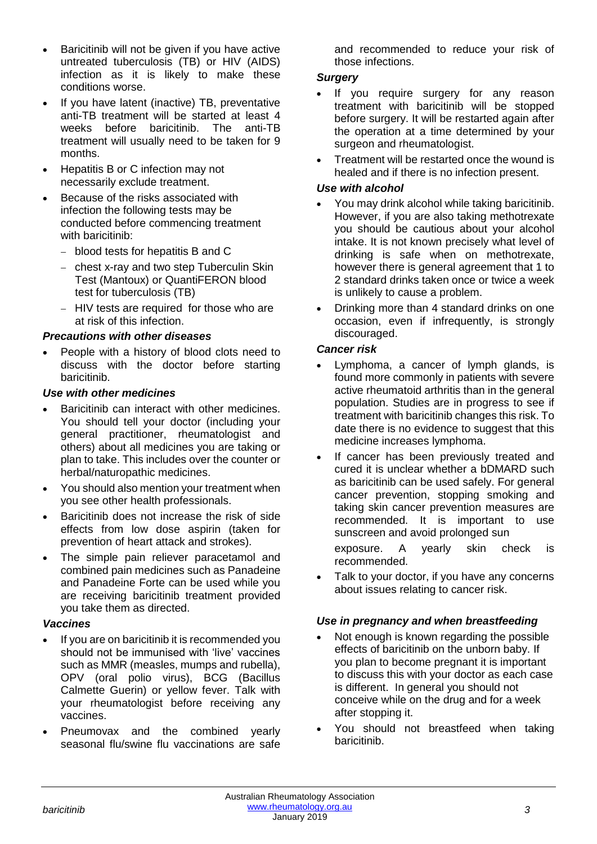- Baricitinib will not be given if you have active untreated tuberculosis (TB) or HIV (AIDS) infection as it is likely to make these conditions worse.
- If you have latent (inactive) TB, preventative anti-TB treatment will be started at least 4 weeks before baricitinib. The anti-TB treatment will usually need to be taken for 9 months.
- Hepatitis B or C infection may not necessarily exclude treatment.
- Because of the risks associated with infection the following tests may be conducted before commencing treatment with baricitinib:
	- − blood tests for hepatitis B and C
	- − chest x-ray and two step Tuberculin Skin Test (Mantoux) or QuantiFERON blood test for tuberculosis (TB)
	- − HIV tests are required for those who are at risk of this infection.

# *Precautions with other diseases*

• People with a history of blood clots need to discuss with the doctor before starting baricitinib.

# *Use with other medicines*

- Baricitinib can interact with other medicines. You should tell your doctor (including your general practitioner, rheumatologist and others) about all medicines you are taking or plan to take. This includes over the counter or herbal/naturopathic medicines.
- You should also mention your treatment when you see other health professionals.
- Baricitinib does not increase the risk of side effects from low dose aspirin (taken for prevention of heart attack and strokes).
- The simple pain reliever paracetamol and combined pain medicines such as Panadeine and Panadeine Forte can be used while you are receiving baricitinib treatment provided you take them as directed.

# *Vaccines*

- If you are on baricitinib it is recommended you should not be immunised with 'live' vaccines such as MMR (measles, mumps and rubella), OPV (oral polio virus), BCG (Bacillus Calmette Guerin) or yellow fever. Talk with your rheumatologist before receiving any vaccines.
- Pneumovax and the combined yearly seasonal flu/swine flu vaccinations are safe

and recommended to reduce your risk of those infections.

## *Surgery*

- If you require surgery for any reason treatment with baricitinib will be stopped before surgery. It will be restarted again after the operation at a time determined by your surgeon and rheumatologist.
- Treatment will be restarted once the wound is healed and if there is no infection present.

# *Use with alcohol*

- You may drink alcohol while taking baricitinib. However, if you are also taking methotrexate you should be cautious about your alcohol intake. It is not known precisely what level of drinking is safe when on methotrexate, however there is general agreement that 1 to 2 standard drinks taken once or twice a week is unlikely to cause a problem.
- Drinking more than 4 standard drinks on one occasion, even if infrequently, is strongly discouraged.

# *Cancer risk*

- Lymphoma, a cancer of lymph glands, is found more commonly in patients with severe active rheumatoid arthritis than in the general population. Studies are in progress to see if treatment with baricitinib changes this risk. To date there is no evidence to suggest that this medicine increases lymphoma.
- If cancer has been previously treated and cured it is unclear whether a bDMARD such as baricitinib can be used safely. For general cancer prevention, stopping smoking and taking skin cancer prevention measures are recommended. It is important to use sunscreen and avoid prolonged sun

exposure. A yearly skin check is recommended.

Talk to your doctor, if you have any concerns about issues relating to cancer risk.

### *Use in pregnancy and when breastfeeding*

- Not enough is known regarding the possible effects of baricitinib on the unborn baby. If you plan to become pregnant it is important to discuss this with your doctor as each case is different. In general you should not conceive while on the drug and for a week after stopping it.
- You should not breastfeed when taking baricitinib.